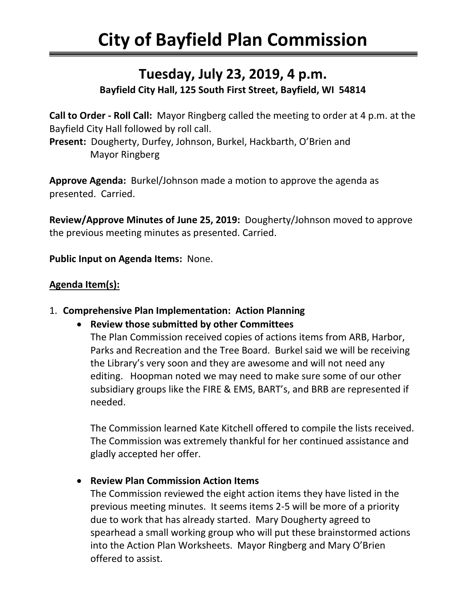# **Tuesday, July 23, 2019, 4 p.m.**

## **Bayfield City Hall, 125 South First Street, Bayfield, WI 54814**

**Call to Order - Roll Call:** Mayor Ringberg called the meeting to order at 4 p.m. at the Bayfield City Hall followed by roll call. **Present:** Dougherty, Durfey, Johnson, Burkel, Hackbarth, O'Brien and

Mayor Ringberg

**Approve Agenda:** Burkel/Johnson made a motion to approve the agenda as presented. Carried.

**Review/Approve Minutes of June 25, 2019:** Dougherty/Johnson moved to approve the previous meeting minutes as presented. Carried.

**Public Input on Agenda Items:** None.

## **Agenda Item(s):**

#### 1. **Comprehensive Plan Implementation: Action Planning**

• **Review those submitted by other Committees** 

The Plan Commission received copies of actions items from ARB, Harbor, Parks and Recreation and the Tree Board. Burkel said we will be receiving the Library's very soon and they are awesome and will not need any editing. Hoopman noted we may need to make sure some of our other subsidiary groups like the FIRE & EMS, BART's, and BRB are represented if needed.

The Commission learned Kate Kitchell offered to compile the lists received. The Commission was extremely thankful for her continued assistance and gladly accepted her offer.

• **Review Plan Commission Action Items**

The Commission reviewed the eight action items they have listed in the previous meeting minutes. It seems items 2-5 will be more of a priority due to work that has already started. Mary Dougherty agreed to spearhead a small working group who will put these brainstormed actions into the Action Plan Worksheets. Mayor Ringberg and Mary O'Brien offered to assist.